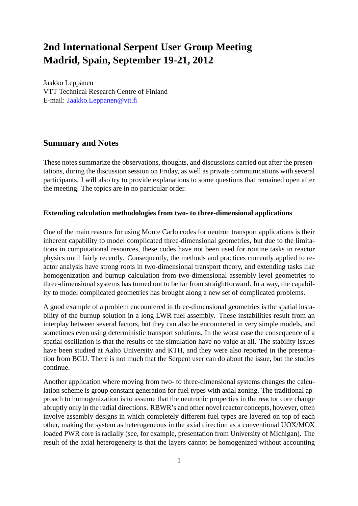# **2nd International Serpent User Group Meeting Madrid, Spain, September 19-21, 2012**

Jaakko Leppänen VTT Technical Research Centre of Finland E-mail: Jaakko.Leppanen@vtt.fi

# **Summary and Notes**

These notes summarize the observations, thoughts, and discussions carried out after the presentations, during the discussion session on Friday, as well as private communications with several participants. I will also try to provide explanations to some questions that remained open after the meeting. The topics are in no particular order.

## **Extending calculation methodologies from two- to three-dimensional applications**

One of the main reasons for using Monte Carlo codes for neutron transport applications is their inherent capability to model complicated three-dimensional geometries, but due to the limitations in computational resources, these codes have not been used for routine tasks in reactor physics until fairly recently. Consequently, the methods and practices currently applied to reactor analysis have strong roots in two-dimensional transport theory, and extending tasks like homogenization and burnup calculation from two-dimensional assembly level geometries to three-dimensional systems has turned out to be far from straightforward. In a way, the capability to model complicated geometries has brought along a new set of complicated problems.

A good example of a problem encountered in three-dimensional geometries is the spatial instability of the burnup solution in a long LWR fuel assembly. These instabilities result from an interplay between several factors, but they can also be encountered in very simple models, and sometimes even using deterministic transport solutions. In the worst case the consequence of a spatial oscillation is that the results of the simulation have no value at all. The stability issues have been studied at Aalto University and KTH, and they were also reported in the presentation from BGU. There is not much that the Serpent user can do about the issue, but the studies continue.

Another application where moving from two- to three-dimensional systems changes the calculation scheme is group constant generation for fuel types with axial zoning. The traditional approach to homogenization is to assume that the neutronic properties in the reactor core change abruptly only in the radial directions. RBWR's and other novel reactor concepts, however, often involve assembly designs in which completely different fuel types are layered on top of each other, making the system as heterogeneous in the axial direction as a conventional UOX/MOX loaded PWR core is radially (see, for example, presentation from University of Michigan). The result of the axial heterogeneity is that the layers cannot be homogenized without accounting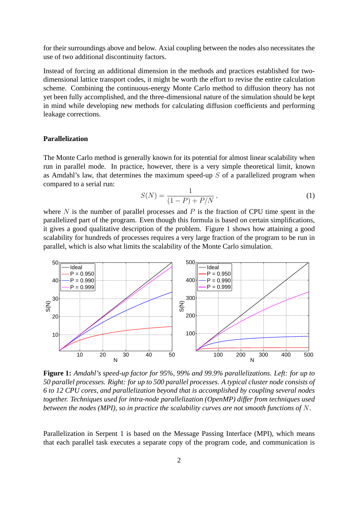for their surroundings above and below. Axial coupling between the nodes also necessitates the use of two additional discontinuity factors.

Instead of forcing an additional dimension in the methods and practices established for twodimensional lattice transport codes, it might be worth the effort to revise the entire calculation scheme. Combining the continuous-energy Monte Carlo method to diffusion theory has not yet been fully accomplished, and the three-dimensional nature of the simulation should be kept in mind while developing new methods for calculating diffusion coefficients and performing leakage corrections.

# **Parallelization**

The Monte Carlo method is generally known for its potential for almost linear scalability when run in parallel mode. In practice, however, there is a very simple theoretical limit, known as Amdahl's law, that determines the maximum speed-up  $S$  of a parallelized program when compared to a serial run:

$$
S(N) = \frac{1}{(1 - P) + P/N},
$$
\n(1)

where  $N$  is the number of parallel processes and  $P$  is the fraction of CPU time spent in the parallelized part of the program. Even though this formula is based on certain simplifications, it gives a good qualitative description of the problem. Figure 1 shows how attaining a good scalability for hundreds of processes requires a very large fraction of the program to be run in parallel, which is also what limits the scalability of the Monte Carlo simulation.



**Figure 1:** *Amdahl's speed-up factor for 95%, 99% and 99.9% parallelizations. Left: for up to 50 parallel processes. Right: for up to 500 parallel processes. A typical cluster node consists of 6 to 12 CPU cores, and parallelization beyond that is accomplished by coupling several nodes together. Techniques used for intra-node parallelization (OpenMP) differ from techniques used between the nodes (MPI), so in practice the scalability curves are not smooth functions of* N*.*

Parallelization in Serpent 1 is based on the Message Passing Interface (MPI), which means that each parallel task executes a separate copy of the program code, and communication is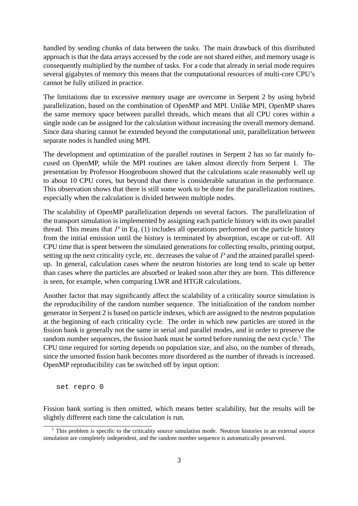handled by sending chunks of data between the tasks. The main drawback of this distributed approach is that the data arrays accessed by the code are not shared either, and memory usage is consequently multiplied by the number of tasks. For a code that already in serial mode requires several gigabytes of memory this means that the computational resources of multi-core CPU's cannot be fully utilized in practice.

The limitations due to excessive memory usage are overcome in Serpent 2 by using hybrid parallelization, based on the combination of OpenMP and MPI. Unlike MPI, OpenMP shares the same memory space between parallel threads, which means that all CPU cores within a single node can be assigned for the calculation without increasing the overall memory demand. Since data sharing cannot be extended beyond the computational unit, parallelization between separate nodes is handled using MPI.

The development and optimization of the parallel routines in Serpent 2 has so far mainly focused on OpenMP, while the MPI routines are taken almost directly from Serpent 1. The presentation by Professor Hoogenboom showed that the calculations scale reasonably well up to about 10 CPU cores, but beyond that there is considerable saturation in the performance. This observation shows that there is still some work to be done for the parallelization routines, especially when the calculation is divided between multiple nodes.

The scalability of OpenMP parallelization depends on several factors. The parallelization of the transport simulation is implemented by assigning each particle history with its own parallel thread. This means that  $P$  in Eq. (1) includes all operations performed on the particle history from the initial emission until the history is terminated by absorption, escape or cut-off. All CPU time that is spent between the simulated generations for collecting results, printing output, setting up the next criticality cycle, etc. decreases the value of P and the attained parallel speedup. In general, calculation cases where the neutron histories are long tend to scale up better than cases where the particles are absorbed or leaked soon after they are born. This difference is seen, for example, when comparing LWR and HTGR calculations.

Another factor that may significantly affect the scalability of a criticality source simulation is the reproducibility of the random number sequence. The initialization of the random number generator in Serpent 2 is based on particle indexes, which are assigned to the neutron population at the beginning of each criticality cycle. The order in which new particles are stored in the fission bank is generally not the same in serial and parallel modes, and in order to preserve the random number sequences, the fission bank must be sorted before running the next cycle.<sup>1</sup> The CPU time required for sorting depends on population size, and also, on the number of threads, since the unsorted fission bank becomes more disordered as the number of threads is increased. OpenMP reproducibility can be switched off by input option:

set repro 0

Fission bank sorting is then omitted, which means better scalability, but the results will be slightly different each time the calculation is run.

 $<sup>1</sup>$  This problem is specific to the criticality source simulation mode. Neutron histories in an external source</sup> simulation are completely independent, and the random number sequence is automatically preserved.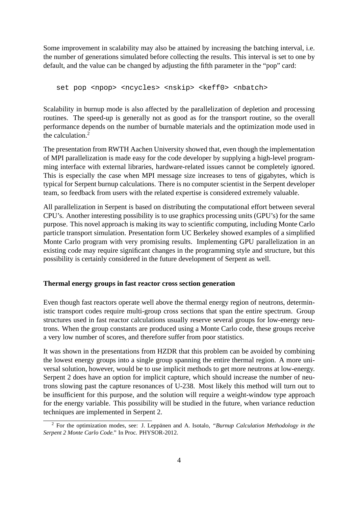Some improvement in scalability may also be attained by increasing the batching interval, i.e. the number of generations simulated before collecting the results. This interval is set to one by default, and the value can be changed by adjusting the fifth parameter in the "pop" card:

set pop <npop> <ncycles> <nskip> <keff0> <nbatch>

Scalability in burnup mode is also affected by the parallelization of depletion and processing routines. The speed-up is generally not as good as for the transport routine, so the overall performance depends on the number of burnable materials and the optimization mode used in the calculation.<sup>2</sup>

The presentation from RWTH Aachen University showed that, even though the implementation of MPI parallelization is made easy for the code developer by supplying a high-level programming interface with external libraries, hardware-related issues cannot be completely ignored. This is especially the case when MPI message size increases to tens of gigabytes, which is typical for Serpent burnup calculations. There is no computer scientist in the Serpent developer team, so feedback from users with the related expertise is considered extremely valuable.

All parallelization in Serpent is based on distributing the computational effort between several CPU's. Another interesting possibility is to use graphics processing units (GPU's) for the same purpose. This novel approach is making its way to scientific computing, including Monte Carlo particle transport simulation. Presentation form UC Berkeley showed examples of a simplified Monte Carlo program with very promising results. Implementing GPU parallelization in an existing code may require significant changes in the programming style and structure, but this possibility is certainly considered in the future development of Serpent as well.

#### **Thermal energy groups in fast reactor cross section generation**

Even though fast reactors operate well above the thermal energy region of neutrons, deterministic transport codes require multi-group cross sections that span the entire spectrum. Group structures used in fast reactor calculations usually reserve several groups for low-energy neutrons. When the group constants are produced using a Monte Carlo code, these groups receive a very low number of scores, and therefore suffer from poor statistics.

It was shown in the presentations from HZDR that this problem can be avoided by combining the lowest energy groups into a single group spanning the entire thermal region. A more universal solution, however, would be to use implicit methods to get more neutrons at low-energy. Serpent 2 does have an option for implicit capture, which should increase the number of neutrons slowing past the capture resonances of U-238. Most likely this method will turn out to be insufficient for this purpose, and the solution will require a weight-window type approach for the energy variable. This possibility will be studied in the future, when variance reduction techniques are implemented in Serpent 2.

<sup>2</sup> For the optimization modes, see: J. Leppänen and A. Isotalo, *"Burnup Calculation Methodology in the Serpent 2 Monte Carlo Code."* In Proc. PHYSOR-2012.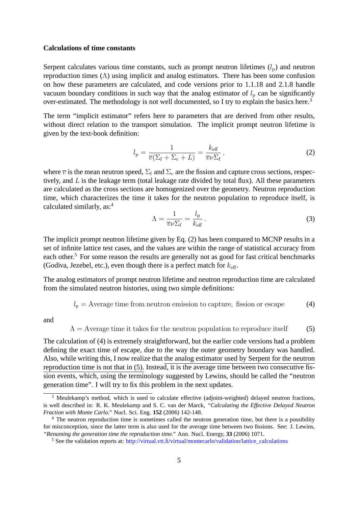#### **Calculations of time constants**

Serpent calculates various time constants, such as prompt neutron lifetimes  $(l_p)$  and neutron reproduction times (Λ) using implicit and analog estimators. There has been some confusion on how these parameters are calculated, and code versions prior to 1.1.18 and 2.1.8 handle vacuum boundary conditions in such way that the analog estimator of  $l_p$  can be significantly over-estimated. The methodology is not well documented, so I try to explain the basics here.<sup>3</sup>

The term "implicit estimator" refers here to parameters that are derived from other results, without direct relation to the transport simulation. The implicit prompt neutron lifetime is given by the text-book definition:

$$
l_{\rm p} = \frac{1}{\overline{v}(\Sigma_{\rm f} + \Sigma_{\rm c} + L)} = \frac{k_{\rm eff}}{\overline{v}\nu\Sigma_{\rm f}},
$$
\n(2)

where  $\overline{v}$  is the mean neutron speed,  $\Sigma_f$  and  $\Sigma_c$  are the fission and capture cross sections, respectively, and  $L$  is the leakage term (total leakage rate divided by total flux). All these parameters are calculated as the cross sections are homogenized over the geometry. Neutron reproduction time, which characterizes the time it takes for the neutron population to reproduce itself, is calculated similarly, as:<sup>4</sup>

$$
\Lambda = \frac{1}{\overline{v}\nu\Sigma_{\rm f}} = \frac{l_{\rm p}}{k_{\rm eff}}\,. \tag{3}
$$

The implicit prompt neutron lifetime given by Eq. (2) has been compared to MCNP results in a set of infinite lattice test cases, and the values are within the range of statistical accuracy from each other.<sup>5</sup> For some reason the results are generally not as good for fast critical benchmarks (Godiva, Jezebel, etc.), even though there is a perfect match for  $k_{\text{eff}}$ .

The analog estimators of prompt neutron lifetime and neutron reproduction time are calculated from the simulated neutron histories, using two simple definitions:

$$
l_{\rm p} = \text{Average time from neutron emission to capture, fission or escape} \tag{4}
$$

and

 $\Lambda$  = Average time it takes for the neutron population to reproduce itself (5)

The calculation of (4) is extremely straightforward, but the earlier code versions had a problem defining the exact time of escape, due to the way the outer geometry boundary was handled. Also, while writing this, I now realize that the analog estimator used by Serpent for the neutron reproduction time is not that in (5). Instead, it is the average time between two consecutive fission events, which, using the terminology suggested by Lewins, should be called the "neutron generation time". I will try to fix this problem in the next updates.

<sup>&</sup>lt;sup>3</sup> Meulekamp's method, which is used to calculate effective (adjoint-weighted) delayed neutron fractions, is well described in: R. K. Meulekamp and S. C. van der Marck, *"Calculating the Effective Delayed Neutron Fraction with Monte Carlo."* Nucl. Sci. Eng. **152** (2006) 142-148.

<sup>&</sup>lt;sup>4</sup> The neutron reproduction time is sometimes called the neutron generation time, but there is a possibility for misconception, since the latter term is also used for the average time between two fissions. See: J. Lewins, *"Renaming the generation time the reproduction time."* Ann. Nucl. Energy, **33** (2006) 1071.

 $<sup>5</sup>$  See the validation reports at: http://virtual.vtt.fi/virtual/montecarlo/validation/lattice calculations</sup>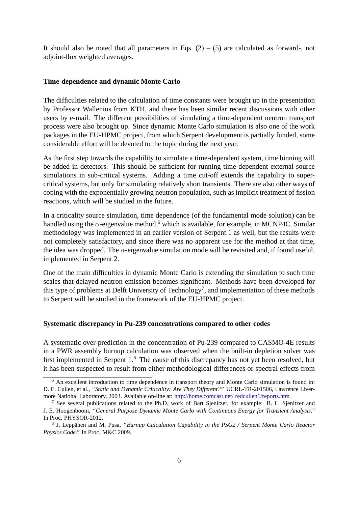It should also be noted that all parameters in Eqs.  $(2) - (5)$  are calculated as forward-, not adjoint-flux weighted averages.

#### **Time-dependence and dynamic Monte Carlo**

The difficulties related to the calculation of time constants were brought up in the presentation by Professor Wallenius from KTH, and there has been similar recent discussions with other users by e-mail. The different possibilities of simulating a time-dependent neutron transport process were also brought up. Since dynamic Monte Carlo simulation is also one of the work packages in the EU-HPMC project, from which Serpent development is partially funded, some considerable effort will be devoted to the topic during the next year.

As the first step towards the capability to simulate a time-dependent system, time binning will be added in detectors. This should be sufficient for running time-dependent external source simulations in sub-critical systems. Adding a time cut-off extends the capability to supercritical systems, but only for simulating relatively short transients. There are also other ways of coping with the exponentially growing neutron population, such as implicit treatment of fission reactions, which will be studied in the future.

In a criticality source simulation, time dependence (of the fundamental mode solution) can be handled using the  $\alpha$ -eigenvalue method,<sup>6</sup> which is available, for example, in MCNP4C. Similar methodology was implemented in an earlier version of Serpent 1 as well, but the results were not completely satisfactory, and since there was no apparent use for the method at that time, the idea was dropped. The  $\alpha$ -eigenvalue simulation mode will be revisited and, if found useful, implemented in Serpent 2.

One of the main difficulties in dynamic Monte Carlo is extending the simulation to such time scales that delayed neutron emission becomes significant. Methods have been developed for this type of problems at Delft University of Technology<sup>7</sup>, and implementation of these methods to Serpent will be studied in the framework of the EU-HPMC project.

#### **Systematic discrepancy in Pu-239 concentrations compared to other codes**

A systematic over-prediction in the concentration of Pu-239 compared to CASMO-4E results in a PWR assembly burnup calculation was observed when the built-in depletion solver was first implemented in Serpent 1.<sup>8</sup> The cause of this discrepancy has not yet been resolved, but it has been suspected to result from either methodological differences or spectral effects from

<sup>&</sup>lt;sup>6</sup> An excellent introduction to time dependence in transport theory and Monte Carlo simulation is found in: D. E. Cullen, et al., *"Static and Dynamic Criticality: Are They Different?"* UCRL-TR-201506, Lawrence Livermore National Laboratory, 2003. Available on-line at: http://home.comcast.net/ redcullen1/reports.htm

<sup>7</sup> See several publications related to the Ph.D. work of Bart Sjenitzer, for example: B. L. Sjenitzer and J. E. Hoogenboom, *"General Purpose Dynamic Monte Carlo with Continuous Energy for Transient Analysis."* In Proc. PHYSOR-2012.

<sup>8</sup> J. Leppänen and M. Pusa, *"Burnup Calculation Capability in the PSG2 / Serpent Monte Carlo Reactor Physics Code."* In Proc. M&C 2009.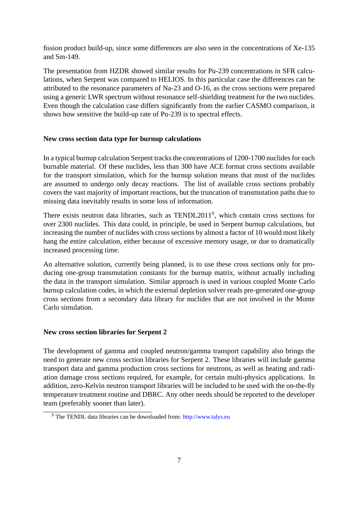fission product build-up, since some differences are also seen in the concentrations of Xe-135 and Sm-149.

The presentation from HZDR showed similar results for Pu-239 concentrations in SFR calculations, when Serpent was compared to HELIOS. In this particular case the differences can be attributed to the resonance parameters of Na-23 and O-16, as the cross sections were prepared using a generic LWR spectrum without resonance self-shielding treatment for the two nuclides. Even though the calculation case differs significantly from the earlier CASMO comparison, it shows how sensitive the build-up rate of Pu-239 is to spectral effects.

#### **New cross section data type for burnup calculations**

In a typical burnup calculation Serpent tracks the concentrations of 1200-1700 nuclides for each burnable material. Of these nuclides, less than 300 have ACE format cross sections available for the transport simulation, which for the burnup solution means that most of the nuclides are assumed to undergo only decay reactions. The list of available cross sections probably covers the vast majority of important reactions, but the truncation of transmutation paths due to missing data inevitably results in some loss of information.

There exists neutron data libraries, such as TENDL2011<sup>9</sup>, which contain cross sections for over 2300 nuclides. This data could, in principle, be used in Serpent burnup calculations, but increasing the number of nuclides with cross sections by almost a factor of 10 would most likely hang the entire calculation, either because of excessive memory usage, or due to dramatically increased processing time.

An alternative solution, currently being planned, is to use these cross sections only for producing one-group transmutation constants for the burnup matrix, without actually including the data in the transport simulation. Similar approach is used in various coupled Monte Carlo burnup calculation codes, in which the external depletion solver reads pre-generated one-group cross sections from a secondary data library for nuclides that are not involved in the Monte Carlo simulation.

#### **New cross section libraries for Serpent 2**

The development of gamma and coupled neutron/gamma transport capability also brings the need to generate new cross section libraries for Serpent 2. These libraries will include gamma transport data and gamma production cross sections for neutrons, as well as heating and radiation damage cross sections required, for example, for certain multi-physics applications. In addition, zero-Kelvin neutron transport libraries will be included to be used with the on-the-fly temperature treatment routine and DBRC. Any other needs should be reported to the developer team (preferably sooner than later).

<sup>9</sup> The TENDL data libraries can be downloaded from: http://www.talys.eu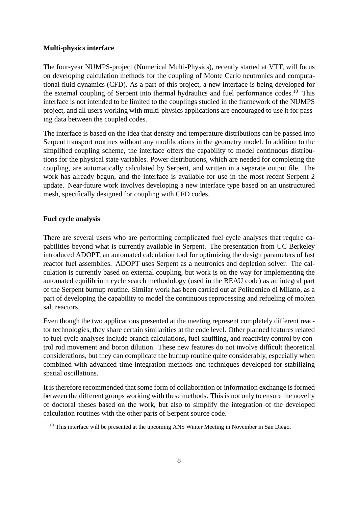## **Multi-physics interface**

The four-year NUMPS-project (Numerical Multi-Physics), recently started at VTT, will focus on developing calculation methods for the coupling of Monte Carlo neutronics and computational fluid dynamics (CFD). As a part of this project, a new interface is being developed for the external coupling of Serpent into thermal hydraulics and fuel performance codes.<sup>10</sup> This interface is not intended to be limited to the couplings studied in the framework of the NUMPS project, and all users working with multi-physics applications are encouraged to use it for passing data between the coupled codes.

The interface is based on the idea that density and temperature distributions can be passed into Serpent transport routines without any modifications in the geometry model. In addition to the simplified coupling scheme, the interface offers the capability to model continuous distributions for the physical state variables. Power distributions, which are needed for completing the coupling, are automatically calculated by Serpent, and written in a separate output file. The work has already begun, and the interface is available for use in the most recent Serpent 2 update. Near-future work involves developing a new interface type based on an unstructured mesh, specifically designed for coupling with CFD codes.

#### **Fuel cycle analysis**

There are several users who are performing complicated fuel cycle analyses that require capabilities beyond what is currently available in Serpent. The presentation from UC Berkeley introduced ADOPT, an automated calculation tool for optimizing the design parameters of fast reactor fuel assemblies. ADOPT uses Serpent as a neutronics and depletion solver. The calculation is currently based on external coupling, but work is on the way for implementing the automated equilibrium cycle search methodology (used in the BEAU code) as an integral part of the Serpent burnup routine. Similar work has been carried out at Politecnico di Milano, as a part of developing the capability to model the continuous reprocessing and refueling of molten salt reactors.

Even though the two applications presented at the meeting represent completely different reactor technologies, they share certain similarities at the code level. Other planned features related to fuel cycle analyses include branch calculations, fuel shuffling, and reactivity control by control rod movement and boron dilution. These new features do not involve difficult theoretical considerations, but they can complicate the burnup routine quite considerably, especially when combined with advanced time-integration methods and techniques developed for stabilizing spatial oscillations.

It is therefore recommended that some form of collaboration or information exchange is formed between the different groups working with these methods. This is not only to ensure the novelty of doctoral theses based on the work, but also to simplify the integration of the developed calculation routines with the other parts of Serpent source code.

<sup>&</sup>lt;sup>10</sup> This interface will be presented at the upcoming ANS Winter Meeting in November in San Diego.